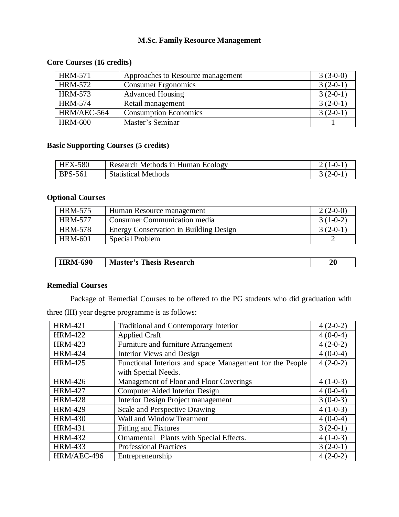### **M.Sc. Family Resource Management**

### **Core Courses (16 credits)**

| <b>HRM-571</b> | Approaches to Resource management | $3(3-0-0)$ |
|----------------|-----------------------------------|------------|
| <b>HRM-572</b> | <b>Consumer Ergonomics</b>        | $3(2-0-1)$ |
| <b>HRM-573</b> | <b>Advanced Housing</b>           | $3(2-0-1)$ |
| <b>HRM-574</b> | Retail management                 | $3(2-0-1)$ |
| HRM/AEC-564    | <b>Consumption Economics</b>      | $3(2-0-1)$ |
| <b>HRM-600</b> | Master's Seminar                  |            |

## **Basic Supporting Courses (5 credits)**

| <b>HEX-580</b> | Research Methods in Human Ecology | $-0-$   |
|----------------|-----------------------------------|---------|
| <b>BPS-561</b> | <b>Statistical Methods</b>        | $(2-0-$ |

#### **Optional Courses**

| <b>HRM-575</b> | Human Resource management              | $2(2-0-0)$ |
|----------------|----------------------------------------|------------|
| <b>HRM-577</b> | Consumer Communication media           | $3(1-0-2)$ |
| <b>HRM-578</b> | Energy Conservation in Building Design | $3(2-0-1)$ |
| <b>HRM-601</b> | <b>Special Problem</b>                 |            |

| <b>HRM-690</b> | Thesis Research<br>M<br>aaster′s | 20 |
|----------------|----------------------------------|----|
|----------------|----------------------------------|----|

#### **Remedial Courses**

Package of Remedial Courses to be offered to the PG students who did graduation with three (III) year degree programme is as follows:

| <b>HRM-421</b> | <b>Traditional and Contemporary Interior</b>             | $4(2-0-2)$ |
|----------------|----------------------------------------------------------|------------|
| <b>HRM-422</b> | <b>Applied Craft</b>                                     | $4(0-0-4)$ |
| <b>HRM-423</b> | Furniture and furniture Arrangement                      | $4(2-0-2)$ |
| <b>HRM-424</b> | <b>Interior Views and Design</b>                         | $4(0-0-4)$ |
| <b>HRM-425</b> | Functional Interiors and space Management for the People | $4(2-0-2)$ |
|                | with Special Needs.                                      |            |
| <b>HRM-426</b> | Management of Floor and Floor Coverings                  | $4(1-0-3)$ |
| <b>HRM-427</b> | <b>Computer Aided Interior Design</b>                    | $4(0-0-4)$ |
| <b>HRM-428</b> | Interior Design Project management                       | $3(0-0-3)$ |
| <b>HRM-429</b> | Scale and Perspective Drawing                            | $4(1-0-3)$ |
| <b>HRM-430</b> | Wall and Window Treatment                                | $4(0-0-4)$ |
| <b>HRM-431</b> | <b>Fitting and Fixtures</b>                              | $3(2-0-1)$ |
| <b>HRM-432</b> | Ornamental Plants with Special Effects.                  | $4(1-0-3)$ |
| <b>HRM-433</b> | <b>Professional Practices</b>                            | $3(2-0-1)$ |
| HRM/AEC-496    | Entrepreneurship                                         | $4(2-0-2)$ |